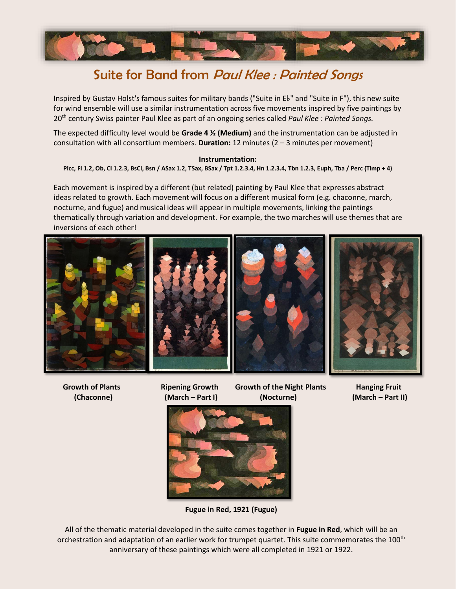

# Suite for Band from *Paul Klee : Painted Songs*

Inspired by Gustav Holst's famous suites for military bands ("Suite in E♭" and "Suite in F"), this new suite for wind ensemble will use a similar instrumentation across five movements inspired by five paintings by 20th century Swiss painter Paul Klee as part of an ongoing series called *Paul Klee : Painted Songs.*

The expected difficulty level would be **Grade 4 ½ (Medium)** and the instrumentation can be adjusted in consultation with all consortium members. **Duration:** 12 minutes (2 – 3 minutes per movement)

#### **Instrumentation:**

Picc, Fl 1.2, Ob, Cl 1.2.3, BsCl, Bsn / ASax 1.2, TSax, BSax / Tpt 1.2.3.4, Hn 1.2.3.4, Tbn 1.2.3, Euph, Tba / Perc (Timp + 4)

Each movement is inspired by a different (but related) painting by Paul Klee that expresses abstract ideas related to growth. Each movement will focus on a different musical form (e.g. chaconne, march, nocturne, and fugue) and musical ideas will appear in multiple movements, linking the paintings thematically through variation and development. For example, the two marches will use themes that are inversions of each other!



 **Growth of Plants Ripening Growth Growth of the Night Plants Hanging Fruit (Chaconne) (March – Part I) (Nocturne) (March – Part II)**



**Fugue in Red, 1921 (Fugue)**

All of the thematic material developed in the suite comes together in **Fugue in Red**, which will be an orchestration and adaptation of an earlier work for trumpet quartet. This suite commemorates the 100<sup>th</sup> anniversary of these paintings which were all completed in 1921 or 1922.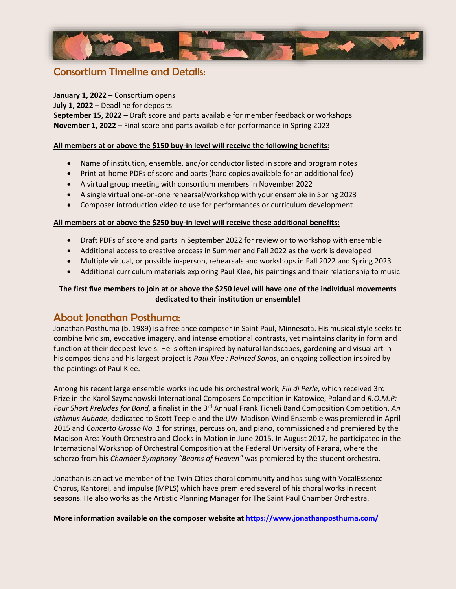

### Consortium Timeline and Details:

### **January 1, 2022** – Consortium opens

**July 1, 2022** – Deadline for deposits

**September 15, 2022** – Draft score and parts available for member feedback or workshops **November 1, 2022** – Final score and parts available for performance in Spring 2023

#### **All members at or above the \$150 buy-in level will receive the following benefits:**

- Name of institution, ensemble, and/or conductor listed in score and program notes
- Print-at-home PDFs of score and parts (hard copies available for an additional fee)
- A virtual group meeting with consortium members in November 2022
- A single virtual one-on-one rehearsal/workshop with your ensemble in Spring 2023
- Composer introduction video to use for performances or curriculum development

#### **All members at or above the \$250 buy-in level will receive these additional benefits:**

- Draft PDFs of score and parts in September 2022 for review or to workshop with ensemble
- Additional access to creative process in Summer and Fall 2022 as the work is developed
- Multiple virtual, or possible in-person, rehearsals and workshops in Fall 2022 and Spring 2023
- Additional curriculum materials exploring Paul Klee, his paintings and their relationship to music

### **The first five members to join at or above the \$250 level will have one of the individual movements dedicated to their institution or ensemble!**

### About Jonathan Posthuma:

Jonathan Posthuma (b. 1989) is a freelance composer in Saint Paul, Minnesota. His musical style seeks to combine lyricism, evocative imagery, and intense emotional contrasts, yet maintains clarity in form and function at their deepest levels. He is often inspired by natural landscapes, gardening and visual art in his compositions and his largest project is *Paul Klee : Painted Songs*, an ongoing collection inspired by the paintings of Paul Klee.

Among his recent large ensemble works include his orchestral work, *Fili di Perle*, which received 3rd Prize in the Karol Szymanowski International Composers Competition in Katowice, Poland and *R.O.M.P: Four Short Preludes for Band,* a finalist in the 3rd Annual Frank Ticheli Band Composition Competition. *An Isthmus Aubade*, dedicated to Scott Teeple and the UW-Madison Wind Ensemble was premiered in April 2015 and *Concerto Grosso No. 1* for strings, percussion, and piano, commissioned and premiered by the Madison Area Youth Orchestra and Clocks in Motion in June 2015. In August 2017, he participated in the International Workshop of Orchestral Composition at the Federal University of Paraná, where the scherzo from his *Chamber Symphony "Beams of Heaven"* was premiered by the student orchestra.

Jonathan is an active member of the Twin Cities choral community and has sung with VocalEssence Chorus, Kantorei, and impulse (MPLS) which have premiered several of his choral works in recent seasons. He also works as the Artistic Planning Manager for The Saint Paul Chamber Orchestra.

**More information available on the composer website at<https://www.jonathanposthuma.com/>**